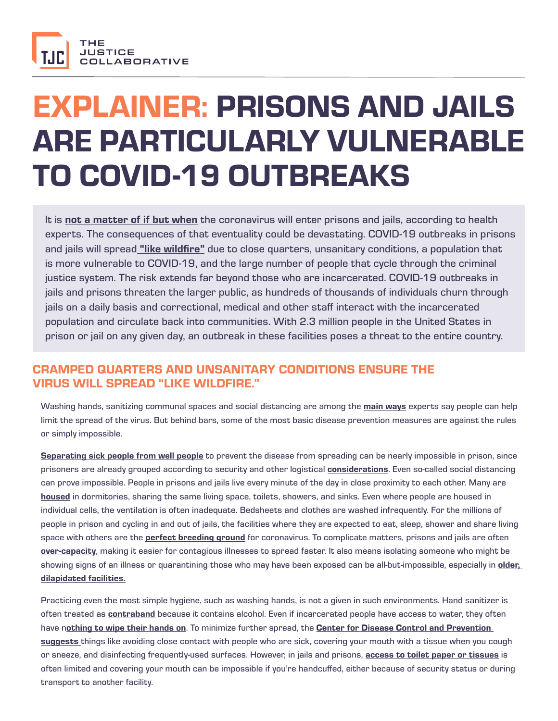

# EXPLAINER: PRISONS AND JAILS ARE PARTICULARLY VULNERABLE TO COVID-19 OUTBREAKS

It is [not a matter of if but when](https://www.theverge.com/2020/3/7/21167807/coronavirus-prison-jail-health-outbreak-covid-19-flu-soap) the coronavirus will enter prisons and jails, according to health experts. The consequences of that eventuality could be devastating. COVID-19 outbreaks in prisons and jails will spread ["like wildfire"](https://www.sacbee.com/news/california/article240962761.html) due to close quarters, unsanitary conditions, a population that is more vulnerable to COVID-19, and the large number of people that cycle through the criminal justice system. The risk extends far beyond those who are incarcerated. COVID-19 outbreaks in jails and prisons threaten the larger public, as hundreds of thousands of individuals churn through jails on a daily basis and correctional, medical and other staff interact with the incarcerated population and circulate back into communities. With 2.3 million people in the United States in prison or jail on any given day, an outbreak in these facilities poses a threat to the entire country.

## CRAMPED QUARTERS AND UNSANITARY CONDITIONS ENSURE THE VIRUS WILL SPREAD "LIKE WILDFIRE."

Washing hands, sanitizing communal spaces and social distancing are among the **[main ways](https://papers.ssrn.com/sol3/papers.cfm?abstract_id=3549276)** experts say people can help limit the spread of the virus. But behind bars, some of the most basic disease prevention measures are against the rules or simply impossible.

[Separating sick people from well people](https://www.themarshallproject.org/2020/03/06/when-purell-is-contraband-how-do-you-contain-coronavirus) to prevent the disease from spreading can be nearly impossible in prison, since prisoners are already grouped according to security and other logistical **[considerations](https://www.usatoday.com/story/news/investigations/2020/03/07/prison-policies-inmates-best-coronavirus-practices/4978412002/)**. Even so-called social distancing can prove impossible. People in prisons and jails live every minute of the day in close proximity to each other. Many are [housed](https://www.aclu.org/news/prisoners-rights/are-our-prisons-and-jails-ready-for-covid-19/) in dormitories, sharing the same living space, toilets, showers, and sinks. Even where people are housed in individual cells, the ventilation is often inadequate. Bedsheets and clothes are washed infrequently. For the millions of people in prison and cycling in and out of jails, the facilities where they are expected to eat, sleep, shower and share living space with others are the **[perfect breeding ground](https://www.motherjones.com/politics/2020/03/correctional-facilities-are-the-perfect-incubators-for-the-coronavirus/)** for coronavirus. To complicate matters, prisons and jails are often [over-capacity](https://www.motherjones.com/crime-justice/2020/03/health-care-behind-bars-is-already-abysmal-are-prison-officials-prepared-for-the-coronavirus/), making it easier for contagious illnesses to spread faster. It also means isolating someone who might be showing signs of an illness or quarantining those who may have been exposed can be all-but-impossible, especially in **older,** [dilapidated facilities.](https://www.sacbee.com/news/investigations/california-prisons/article232484237.html)

Practicing even the most simple hygiene, such as washing hands, is not a given in such environments. Hand sanitizer is often treated as **[contraband](https://www.usatoday.com/story/news/investigations/2020/03/07/prison-policies-inmates-best-coronavirus-practices/4978412002/)** because it contains alcohol. Even if incarcerated people have access to water, they often have n[othing to wipe their hands on](https://www.themarshallproject.org/2020/03/06/when-purell-is-contraband-how-do-you-contain-coronavirus). To minimize further spread, the Center for Disease Control and Prevention [suggests](https://www.cdc.gov/coronavirus/2019-ncov/about/prevention.html?CDC_AA_refVal=https%3A%2F%2Fwww.cdc.gov%2Fcoronavirus%2F2019-ncov%2Fabout%2Fprevention-treatment.html) things like avoiding close contact with people who are sick, covering your mouth with a tissue when you cough or sneeze, and disinfecting frequently-used surfaces. However, in jails and prisons, [access to toilet paper or tissues](https://www.themarshallproject.org/2020/03/06/when-purell-is-contraband-how-do-you-contain-coronavirus) is often limited and covering your mouth can be impossible if you're handcuffed, either because of security status or during transport to another facility.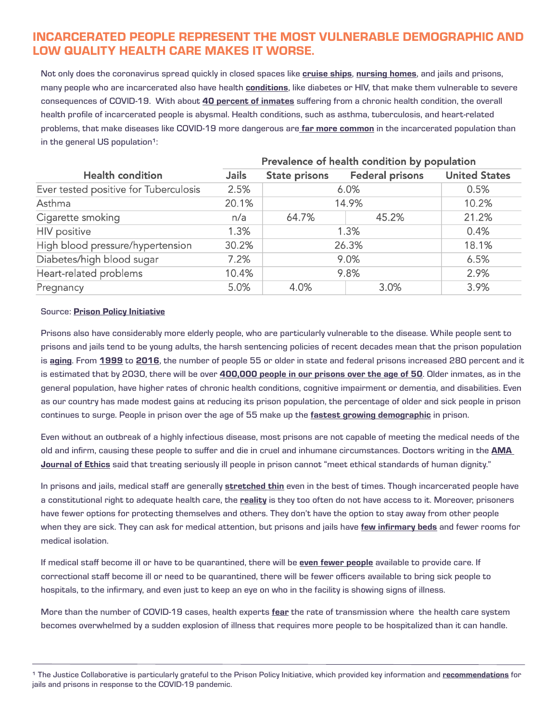## INCARCERATED PEOPLE REPRESENT THE MOST VULNERABLE DEMOGRAPHIC AND LOW QUALITY HEALTH CARE MAKES IT WORSE.

Not only does the coronavirus spread quickly in closed spaces like [cruise ships](https://www.latimes.com/california/story/2020-03-09/what-we-know-about-grand-princess-docking-coronavirus-quarantine), [nursing homes](https://www.nytimes.com/2020/03/07/us/coronavirus-nursing-home.html), and jails and prisons, many people who are incarcerated also have health **[conditions](https://www.prisonerhealth.org/educational-resources/factsheets-2/chronic-and-infectious-diseases-in-justice-involved-populations/)**, like diabetes or HIV, that make them vulnerable to severe consequences of COVID-19. With about [40 percent of inmates](https://www.phillytrib.com/news/examining-health-care-in-u-s-prisons/article_43520055-789e-52a9-aed5-eaf1c75c7c36.html) suffering from a chronic health condition, the overall health profile of incarcerated people is abysmal. Health conditions, such as asthma, tuberculosis, and heart-related problems, that make diseases like COVID-19 more dangerous are [far more common](https://www.prisonpolicy.org/blog/2020/03/06/pandemic/) in the incarcerated population than in the general US population<sup>1</sup>:

 $\sim$ 

 $\sim$ 

|                                       | Prevalence of health condition by population |                      |                        |                      |
|---------------------------------------|----------------------------------------------|----------------------|------------------------|----------------------|
| <b>Health condition</b>               | <b>Jails</b>                                 | <b>State prisons</b> | <b>Federal prisons</b> | <b>United States</b> |
| Ever tested positive for Tuberculosis | 2.5%                                         | 6.0%                 |                        | 0.5%                 |
| Asthma                                | 20.1%                                        | 14.9%                |                        | 10.2%                |
| Cigarette smoking                     | n/a                                          | 64.7%                | 45.2%                  | 21.2%                |
| <b>HIV</b> positive                   | 1.3%                                         | 1.3%                 |                        | 0.4%                 |
| High blood pressure/hypertension      | 30.2%                                        | 26.3%                |                        | 18.1%                |
| Diabetes/high blood sugar             | 7.2%                                         | 9.0%                 |                        | 6.5%                 |
| Heart-related problems                | 10.4%                                        | 9.8%                 |                        | 2.9%                 |
| Pregnancy                             | 5.0%                                         | 4.0%                 | 3.0%                   | 3.9%                 |

#### Source: [Prison Policy Initiative](https://www.prisonpolicy.org/blog/2020/03/06/pandemic/)

Prisons also have considerably more elderly people, who are particularly vulnerable to the disease. While people sent to prisons and jails tend to be young adults, the harsh sentencing policies of recent decades mean that the prison population is [aging](https://www.aclu.org/news/prisoners-rights/are-our-prisons-and-jails-ready-for-covid-19/). From [1999](https://www.bjs.gov/content/pub/pdf/p99.pdf) to [2016](https://www.bjs.gov/nps/resources/documents/QT_age%20sex%20race%20distribution_counts_2016.xlsx), the number of people 55 or older in state and federal prisons increased 280 percent and it is estimated that by 2030, there will be over [400,000 people in our prisons over the age of 50](https://www.thenation.com/article/by-2030-one-in-three-us-prisoners-will-be-over-50/). Older inmates, as in the general population, have higher rates of chronic health conditions, cognitive impairment or dementia, and disabilities. Even as our country has made modest gains at reducing its prison population, the percentage of older and sick people in prison continues to surge. People in prison over the age of 55 make up the [fastest growing demographic](https://www.ncchc.org/report-examines-trends-in-u.s.-aging-prison-population) in prison.

Even without an outbreak of a highly infectious disease, most prisons are not capable of meeting the medical needs of the old and infirm, causing these people to suffer and die in cruel and inhumane circumstances. Doctors writing in the **AMA** [Journal of Ethics](https://journalofethics.ama-assn.org/article/compassionate-release-policy-reform-physicians-advocates-human-dignity/2017-09) said that treating seriously ill people in prison cannot "meet ethical standards of human dignity."

In prisons and jails, medical staff are generally [stretched thin](https://www.commondreams.org/views/2020/03/09/are-our-prisons-and-jails-ready-covid-19) even in the best of times. Though incarcerated people have a constitutional right to adequate health care, the [reality](https://www.aclu.org/news/prisoners-rights/are-our-prisons-and-jails-ready-for-covid-19/) is they too often do not have access to it. Moreover, prisoners have fewer options for protecting themselves and others. They don't have the option to stay away from other people when they are sick. They can ask for medical attention, but prisons and jails have [few infirmary beds](https://www.commondreams.org/views/2020/03/09/are-our-prisons-and-jails-ready-covid-19) and fewer rooms for medical isolation.

If medical staff become ill or have to be quarantined, there will be [even fewer people](https://www.aclu.org/news/prisoners-rights/are-our-prisons-and-jails-ready-for-covid-19/) available to provide care. If correctional staff become ill or need to be quarantined, there will be fewer officers available to bring sick people to hospitals, to the infirmary, and even just to keep an eye on who in the facility is showing signs of illness.

More than the number of COVID-19 cases, health experts [fear](https://www.vox.com/2020/3/10/21171481/coronavirus-us-cases-quarantine-cancellation) the rate of transmission where the health care system becomes overwhelmed by a sudden explosion of illness that requires more people to be hospitalized than it can handle.

<sup>&</sup>lt;sup>1</sup> The Justice Collaborative is particularly grateful to the Prison Policy Initiative, which provided key information and [recommendations](https://www.prisonpolicy.org/blog/2020/03/06/pandemic/) for jails and prisons in response to the COVID-19 pandemic.